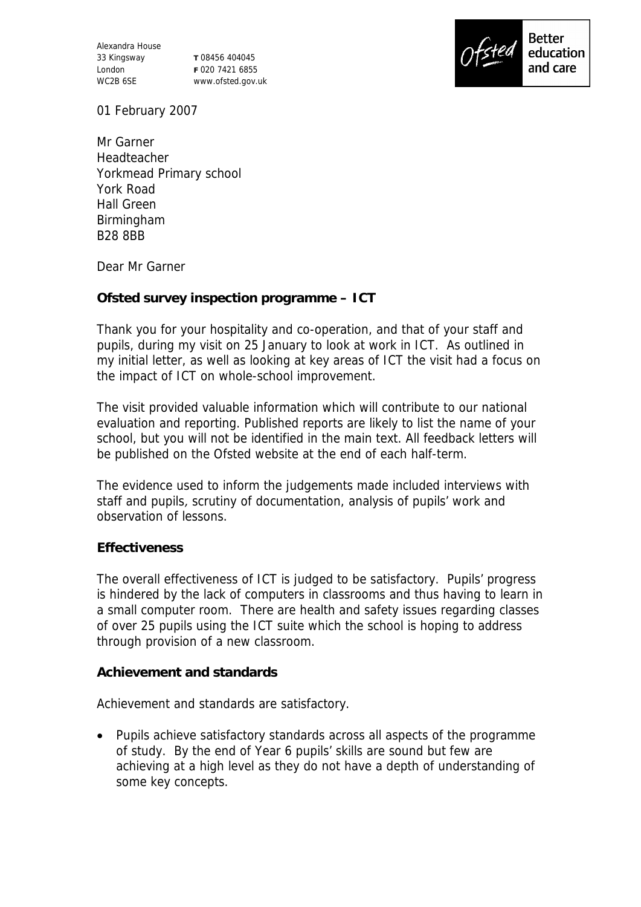Alexandra House 33 Kingsway London WC2B 6SE

**T** 08456 404045 **F** 020 7421 6855 www.ofsted.gov.uk



01 February 2007

Mr Garner Headteacher Yorkmead Primary school York Road Hall Green Birmingham B28 8BB

Dear Mr Garner

**Ofsted survey inspection programme – ICT**

Thank you for your hospitality and co-operation, and that of your staff and pupils, during my visit on 25 January to look at work in ICT. As outlined in my initial letter, as well as looking at key areas of ICT the visit had a focus on the impact of ICT on whole-school improvement.

The visit provided valuable information which will contribute to our national evaluation and reporting. Published reports are likely to list the name of your school, but you will not be identified in the main text. All feedback letters will be published on the Ofsted website at the end of each half-term.

The evidence used to inform the judgements made included interviews with staff and pupils, scrutiny of documentation, analysis of pupils' work and observation of lessons.

## **Effectiveness**

The overall effectiveness of ICT is judged to be satisfactory. Pupils' progress is hindered by the lack of computers in classrooms and thus having to learn in a small computer room. There are health and safety issues regarding classes of over 25 pupils using the ICT suite which the school is hoping to address through provision of a new classroom.

**Achievement and standards** 

Achievement and standards are satisfactory.

 Pupils achieve satisfactory standards across all aspects of the programme of study. By the end of Year 6 pupils' skills are sound but few are achieving at a high level as they do not have a depth of understanding of some key concepts.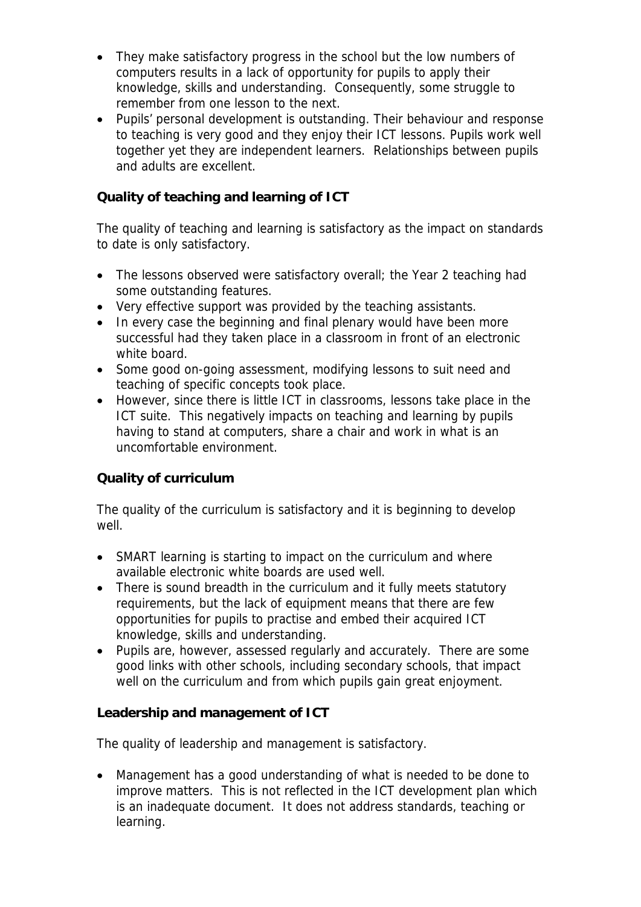- They make satisfactory progress in the school but the low numbers of computers results in a lack of opportunity for pupils to apply their knowledge, skills and understanding. Consequently, some struggle to remember from one lesson to the next.
- Pupils' personal development is outstanding. Their behaviour and response to teaching is very good and they enjoy their ICT lessons. Pupils work well together yet they are independent learners. Relationships between pupils and adults are excellent.

## **Quality of teaching and learning of ICT**

The quality of teaching and learning is satisfactory as the impact on standards to date is only satisfactory.

- The lessons observed were satisfactory overall; the Year 2 teaching had some outstanding features.
- Very effective support was provided by the teaching assistants.
- In every case the beginning and final plenary would have been more successful had they taken place in a classroom in front of an electronic white board.
- Some good on-going assessment, modifying lessons to suit need and teaching of specific concepts took place.
- However, since there is little ICT in classrooms, lessons take place in the ICT suite. This negatively impacts on teaching and learning by pupils having to stand at computers, share a chair and work in what is an uncomfortable environment.

## **Quality of curriculum**

The quality of the curriculum is satisfactory and it is beginning to develop well.

- SMART learning is starting to impact on the curriculum and where available electronic white boards are used well.
- There is sound breadth in the curriculum and it fully meets statutory requirements, but the lack of equipment means that there are few opportunities for pupils to practise and embed their acquired ICT knowledge, skills and understanding.
- Pupils are, however, assessed regularly and accurately. There are some good links with other schools, including secondary schools, that impact well on the curriculum and from which pupils gain great enjoyment.

## **Leadership and management of ICT**

The quality of leadership and management is satisfactory.

 Management has a good understanding of what is needed to be done to improve matters. This is not reflected in the ICT development plan which is an inadequate document. It does not address standards, teaching or learning.